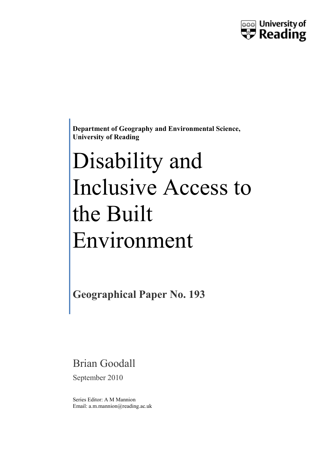

**Department of Geography and Environmental Science, University of Reading**

# Disability and Inclusive Access to the Built Environment

**Geographical Paper No. 193**

Brian Goodall

September 2010

Series Editor: A M Mannion Email: a.m.mannion@reading.ac.uk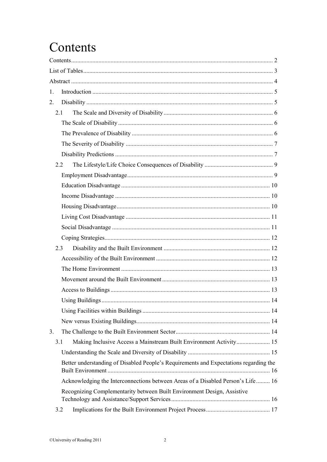# <span id="page-1-0"></span>Contents

| 1. |     |                                                                                       |    |
|----|-----|---------------------------------------------------------------------------------------|----|
| 2. |     |                                                                                       |    |
|    |     | 2.1                                                                                   |    |
|    |     |                                                                                       |    |
|    |     |                                                                                       |    |
|    |     |                                                                                       |    |
|    |     |                                                                                       |    |
|    | 2.2 |                                                                                       |    |
|    |     |                                                                                       |    |
|    |     |                                                                                       |    |
|    |     |                                                                                       |    |
|    |     |                                                                                       |    |
|    |     |                                                                                       |    |
|    |     |                                                                                       |    |
|    |     |                                                                                       |    |
|    | 2.3 |                                                                                       |    |
|    |     |                                                                                       |    |
|    |     |                                                                                       |    |
|    |     |                                                                                       |    |
|    |     |                                                                                       |    |
|    |     | Using Buildings                                                                       | 14 |
|    |     |                                                                                       |    |
|    |     |                                                                                       |    |
| 3. |     |                                                                                       |    |
|    | 3.1 | Making Inclusive Access a Mainstream Built Environment Activity 15                    |    |
|    |     |                                                                                       |    |
|    |     | Better understanding of Disabled People's Requirements and Expectations regarding the |    |
|    |     | Acknowledging the Interconnections between Areas of a Disabled Person's Life 16       |    |
|    |     | Recognizing Complementarity between Built Environment Design, Assistive               |    |
|    | 3.2 |                                                                                       |    |
|    |     |                                                                                       |    |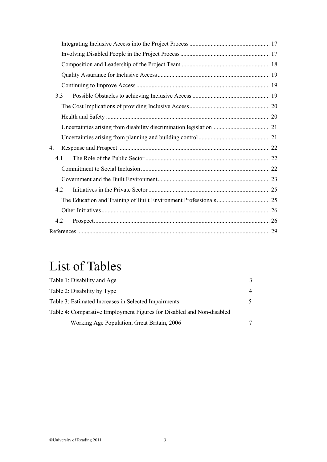| 3.3         |     |  |
|-------------|-----|--|
|             |     |  |
|             |     |  |
|             |     |  |
|             |     |  |
| $4_{\cdot}$ |     |  |
| 4.1         |     |  |
|             |     |  |
|             |     |  |
|             | 4.2 |  |
|             |     |  |
|             |     |  |
| 4.2         |     |  |
|             |     |  |

# <span id="page-2-0"></span>List of Tables

| Table 1: Disability and Age                                           | 3  |
|-----------------------------------------------------------------------|----|
| Table 2: Disability by Type                                           | 4  |
| Table 3: Estimated Increases in Selected Impairments                  | 5. |
| Table 4: Comparative Employment Figures for Disabled and Non-disabled |    |
| Working Age Population, Great Britain, 2006                           |    |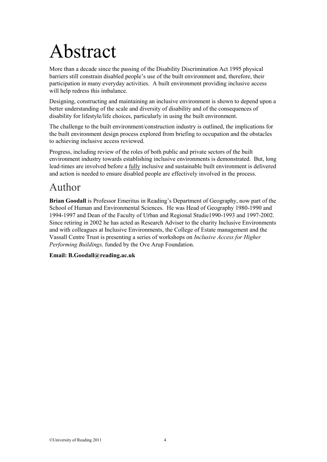# <span id="page-3-0"></span>Abstract

More than a decade since the passing of the Disability Discrimination Act 1995 physical barriers still constrain disabled people's use of the built environment and, therefore, their participation in many everyday activities. A built environment providing inclusive access will help redress this imbalance.

Designing, constructing and maintaining an inclusive environment is shown to depend upon a better understanding of the scale and diversity of disability and of the consequences of disability for lifestyle/life choices, particularly in using the built environment.

The challenge to the built environment/construction industry is outlined, the implications for the built environment design process explored from briefing to occupation and the obstacles to achieving inclusive access reviewed.

Progress, including review of the roles of both public and private sectors of the built environment industry towards establishing inclusive environments is demonstrated. But, long lead-times are involved before a fully inclusive and sustainable built environment is delivered and action is needed to ensure disabled people are effectively involved in the process.

### Author

**Brian Goodall** is Professor Emeritus in Reading's Department of Geography, now part of the School of Human and Environmental Sciences. He was Head of Geography 1980-1990 and 1994-1997 and Dean of the Faculty of Urban and Regional Studie1990-1993 and 1997-2002. Since retiring in 2002 he has acted as Research Adviser to the charity Inclusive Environments and with colleagues at Inclusive Environments, the College of Estate management and the Vassall Centre Trust is presenting a series of workshops on *Inclusive Access for Higher Performing Buildings,* funded by the Ove Arup Foundation.

### **Email: [B.Goodall@reading.ac.uk](mailto:B.Goodall@reading.ac.uk)**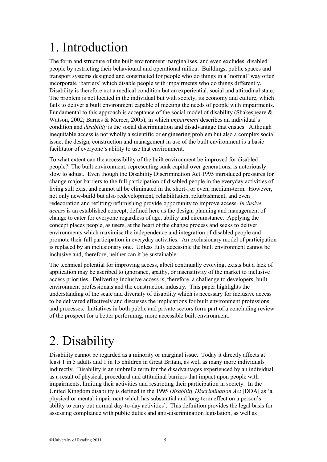# <span id="page-4-0"></span>1. Introduction

The form and structure of the built environment marginalises, and even excludes, disabled people by restricting their behavioural and operational milieu. Buildings, public spaces and transport systems designed and constructed for people who do things in a 'normal' way often incorporate 'barriers' which disable people with impairments who do things differently. Disability is therefore not a medical condition but an experiential, social and attitudinal state. The problem is not located in the individual but with society, its economy and culture, which fails to deliver a built environment capable of meeting the needs of people with impairments. Fundamental to this approach is acceptance of the social model of disability (Shakespeare  $\&$ Watson, 2002; Barnes & Mercer, 2005), in which *impairment* describes an individual's condition and *disability* is the social discrimination and disadvantage that ensues. Although inequitable access is not wholly a scientific or engineering problem but also a complex social issue, the design, construction and management in use of the built environment is a basic facilitator of everyone's ability to use that environment.

To what extent can the accessibility of the built environment be improved for disabled people? The built environment, representing sunk capital over generations, is notoriously slow to adjust. Even though the Disability Discrimination Act 1995 introduced pressures for change major barriers to the full participation of disabled people in the everyday activities of living still exist and cannot all be eliminated in the short-, or even, medium-term. However, not only new-build but also redevelopment, rehabilitation, refurbishment, and even redecoration and refitting/refurnishing provide opportunity to improve access. *Inclusive access* is an established concept, defined here as the design, planning and management of change to cater for everyone regardless of age, ability and circumstance. Applying the concept places people, as users, at the heart of the change process and seeks to deliver environments which maximise the independence and integration of disabled people and promote their full participation in everyday activities. An exclusionary model of participation is replaced by an inclusionary one. Unless fully accessible the built environment cannot be inclusive and, therefore, neither can it be sustainable.

The technical potential for improving access, albeit continually evolving, exists but a lack of application may be ascribed to ignorance, apathy, or insensitivity of the market to inclusive access priorities. Delivering inclusive access is, therefore, a challenge to developers, built environment professionals and the construction industry. This paper highlights the understanding of the scale and diversity of disability which is necessary for inclusive access to be delivered effectively and discusses the implications for built environment professions and processes. Initiatives in both public and private sectors form part of a concluding review of the prospect for a better performing, more accessible built environment.

## <span id="page-4-1"></span>2. Disability

Disability cannot be regarded as a minority or marginal issue. Today it directly affects at least 1 in 5 adults and 1 in 15 children in Great Britain, as well as many more individuals indirectly. Disability is an umbrella term for the disadvantages experienced by an individual as a result of physical, procedural and attitudinal barriers that impact upon people with impairments, limiting their activities and restricting their participation in society. In the United Kingdom disability is defined in the 1995 *Disability Discrimination Act* [DDA] as 'a physical or mental impairment which has substantial and long-term effect on a person's ability to carry out normal day-to-day activities'. This definition provides the legal basis for assessing compliance with public duties and anti-discrimination legislation, as well as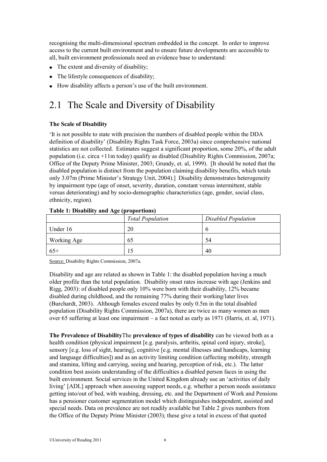recognising the multi-dimensional spectrum embedded in the concept. In order to improve access to the current built environment and to ensure future developments are accessible to all, built environment professionals need an evidence base to understand:

- The extent and diversity of disability;
- The lifestyle consequences of disability:
- <span id="page-5-0"></span>How disability affects a person's use of the built environment.

### 2.1 The Scale and Diversity of Disability

### <span id="page-5-1"></span>**The Scale of Disability**

'It is not possible to state with precision the numbers of disabled people within the DDA definition of disability' (Disability Rights Task Force, 2003a) since comprehensive national statistics are not collected. Estimates suggest a significant proportion, some 20%, of the adult population (i.e. circa +11m today) qualify as disabled (Disability Rights Commission, 2007a; Office of the Deputy Prime Minister, 2003; Grundy, et. al, 1999). [It should be noted that the disabled population is distinct from the population claiming disability benefits, which totals only 3.07m (Prime Minister's Strategy Unit, 2004).] Disability demonstrates heterogeneity by impairment type (age of onset, severity, duration, constant versus intermittent, stable versus deteriorating) and by socio-demographic characteristics (age, gender, social class, ethnicity, region).

| Table 1: Disability and $\mathbf{F}_{\mathbf{S}}$ (proportions) |                         |                     |  |  |  |  |  |
|-----------------------------------------------------------------|-------------------------|---------------------|--|--|--|--|--|
|                                                                 | <b>Total Population</b> | Disabled Population |  |  |  |  |  |
| Under 16                                                        | 20                      |                     |  |  |  |  |  |
| Working Age                                                     | 65                      | 54                  |  |  |  |  |  |
| $65+$                                                           |                         | 40                  |  |  |  |  |  |

### **Table 1: Disability and Age (proportions)**

Source: Disability Rights Commission, 2007a.

Disability and age are related as shown in Table 1: the disabled population having a much older profile than the total population. Disability onset rates increase with age (Jenkins and Rigg, 2003): of disabled people only 10% were born with their disability, 12% became disabled during childhood, and the remaining 77% during their working/later lives (Burchardt, 2003). Although females exceed males by only 0.5m in the total disabled population (Disability Rights Commission, 2007a), there are twice as many women as men over 65 suffering at least one impairment – a fact noted as early as 1971 (Harris, et. al, 1971).

<span id="page-5-2"></span>**The Prevalence of Disability**The **prevalence of types of disability** can be viewed both as a health condition (physical impairment [e.g. paralysis, arthritis, spinal cord injury, stroke], sensory [e.g. loss of sight, hearing], cognitive [e.g. mental illnesses and handicaps, learning and language difficulties]) and as an activity limiting condition (affecting mobility, strength and stamina, lifting and carrying, seeing and hearing, perception of risk, etc.). The latter condition best assists understanding of the difficulties a disabled person faces in using the built environment. Social services in the United Kingdom already use an 'activities of daily living' [ADL] approach when assessing support needs, e.g. whether a person needs assistance getting into/out of bed, with washing, dressing, etc. and the Department of Work and Pensions has a pensioner customer segmentation model which distinguishes independent, assisted and special needs. Data on prevalence are not readily available but Table 2 gives numbers from the Office of the Deputy Prime Minister (2003); these give a total in excess of that quoted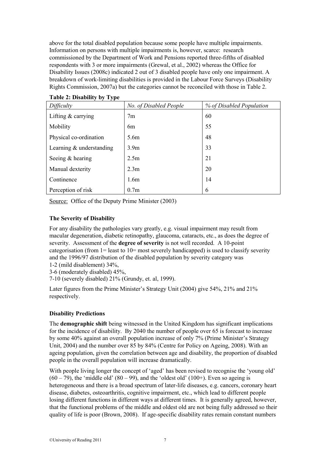above for the total disabled population because some people have multiple impairments. Information on persons with multiple impairments is, however, scarce: research commissioned by the Department of Work and Pensions reported three-fifths of disabled respondents with 3 or more impairments (Grewal, et al., 2002) whereas the Office for Disability Issues (2008c) indicated 2 out of 3 disabled people have only one impairment. A breakdown of work-limiting disabilities is provided in the Labour Force Surveys (Disability Rights Commission, 2007a) but the categories cannot be reconciled with those in Table 2.

**Table 2: Disability by Type**

| Difficulty                 | No. of Disabled People | % of Disabled Population |  |
|----------------------------|------------------------|--------------------------|--|
| Lifting $&$ carrying       | 7 <sub>m</sub>         | 60                       |  |
| Mobility                   | 6 <sub>m</sub>         | 55                       |  |
| Physical co-ordination     | 5.6m                   | 48                       |  |
| Learning $&$ understanding | 3.9 <sub>m</sub>       | 33                       |  |
| Seeing & hearing           | 2.5 <sub>m</sub>       | 21                       |  |
| Manual dexterity           | 2.3 <sub>m</sub>       | 20                       |  |
| Continence                 | 1.6m                   | 14                       |  |
| Perception of risk         | 0.7 <sub>m</sub>       | 6                        |  |

<span id="page-6-0"></span>Source: Office of the Deputy Prime Minister (2003)

### **The Severity of Disability**

For any disability the pathologies vary greatly, e.g. visual impairment may result from macular degeneration, diabetic retinopathy, glaucoma, cataracts, etc., as does the degree of severity. Assessment of the **degree of severity** is not well recorded. A 10-point categorisation (from  $1 =$  least to  $10 =$  most severely handicapped) is used to classify severity and the 1996/97 distribution of the disabled population by severity category was

1-2 (mild disablement) 34%,

3-6 (moderately disabled) 45%,

7-10 (severely disabled) 21% (Grundy, et. al, 1999).

Later figures from the Prime Minister's Strategy Unit (2004) give 54%, 21% and 21% respectively.

### <span id="page-6-1"></span>**Disability Predictions**

The **demographic shift** being witnessed in the United Kingdom has significant implications for the incidence of disability. By 2040 the number of people over 65 is forecast to increase by some 40% against an overall population increase of only 7% (Prime Minister's Strategy Unit, 2004) and the number over 85 by 84% (Centre for Policy on Ageing, 2008). With an ageing population, given the correlation between age and disability, the proportion of disabled people in the overall population will increase dramatically.

With people living longer the concept of 'aged' has been revised to recognise the 'young old'  $(60 - 79)$ , the 'middle old'  $(80 - 99)$ , and the 'oldest old'  $(100+)$ . Even so ageing is heterogeneous and there is a broad spectrum of later-life diseases, e.g. cancers, coronary heart disease, diabetes, osteoarthritis, cognitive impairment, etc., which lead to different people losing different functions in different ways at different times. It is generally agreed, however, that the functional problems of the middle and oldest old are not being fully addressed so their quality of life is poor (Brown, 2008). If age-specific disability rates remain constant numbers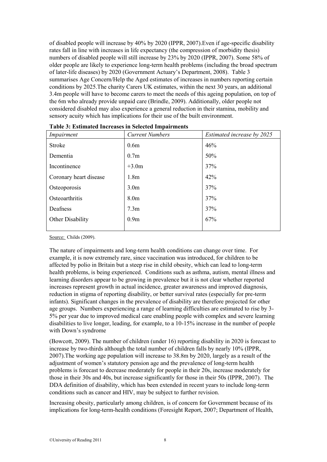of disabled people will increase by 40% by 2020 (IPPR, 2007).Even if age-specific disability rates fall in line with increases in life expectancy (the compression of morbidity thesis) numbers of disabled people will still increase by 23% by 2020 (IPPR, 2007). Some 58% of older people are likely to experience long-term health problems (including the broad spectrum of later-life diseases) by 2020 (Government Actuary's Department, 2008). Table 3 summarises Age Concern/Help the Aged estimates of increases in numbers reporting certain conditions by 2025.The charity Carers UK estimates, within the next 30 years, an additional 3.4m people will have to become carers to meet the needs of this ageing population, on top of the 6m who already provide unpaid care (Brindle, 2009). Additionally, older people not considered disabled may also experience a general reduction in their stamina, mobility and sensory acuity which has implications for their use of the built environment.

| Impairment             | <b>Current Numbers</b><br>Estimated increase by 2025 |     |  |
|------------------------|------------------------------------------------------|-----|--|
| <b>Stroke</b>          | 0.6 <sub>m</sub>                                     | 46% |  |
| Dementia               | 0.7 <sub>m</sub>                                     | 50% |  |
| Incontinence           | $+3.0m$                                              | 37% |  |
| Coronary heart disease | 1.8 <sub>m</sub>                                     | 42% |  |
| Osteoporosis           | 3.0 <sub>m</sub>                                     | 37% |  |
| Osteoarthritis         | 8.0 <sub>m</sub>                                     | 37% |  |
| Deafness               | 7.3 <sub>m</sub>                                     | 37% |  |
| Other Disability       | 0.9 <sub>m</sub>                                     | 67% |  |
|                        |                                                      |     |  |

| Table 3: Estimated Increases in Selected Impairments |  |  |  |
|------------------------------------------------------|--|--|--|
|------------------------------------------------------|--|--|--|

Source: Childs (2009).

The nature of impairments and long-term health conditions can change over time. For example, it is now extremely rare, since vaccination was introduced, for children to be affected by polio in Britain but a steep rise in child obesity, which can lead to long-term health problems, is being experienced. Conditions such as asthma, autism, mental illness and learning disorders appear to be growing in prevalence but it is not clear whether reported increases represent growth in actual incidence, greater awareness and improved diagnosis, reduction in stigma of reporting disability, or better survival rates (especially for pre-term infants). Significant changes in the prevalence of disability are therefore projected for other age groups. Numbers experiencing a range of learning difficulties are estimated to rise by 3- 5% per year due to improved medical care enabling people with complex and severe learning disabilities to live longer, leading, for example, to a 10-15% increase in the number of people with Down's syndrome

(Bowcott, 2009). The number of children (under 16) reporting disability in 2020 is forecast to increase by two-thirds although the total number of children falls by nearly 10% (IPPR, 2007).The working age population will increase to 38.8m by 2020, largely as a result of the adjustment of women's statutory pension age and the prevalence of long-term health problems is forecast to decrease moderately for people in their 20s, increase moderately for those in their 30s and 40s, but increase significantly for those in their 50s (IPPR, 2007). The DDA definition of disability, which has been extended in recent years to include long-term conditions such as cancer and HIV, may be subject to further revision.

Increasing obesity, particularly among children, is of concern for Government because of its implications for long-term-health conditions (Foresight Report, 2007; Department of Health,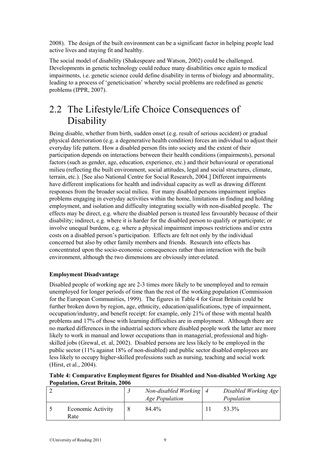2008). The design of the built environment can be a significant factor in helping people lead active lives and staying fit and healthy.

The social model of disability (Shakespeare and Watson, 2002) could be challenged. Developments in genetic technology could reduce many disabilities once again to medical impairments, i.e. genetic science could define disability in terms of biology and abnormality, leading to a process of 'geneticisation' whereby social problems are redefined as genetic problems (IPPR, 2007).

### <span id="page-8-0"></span>2.2 The Lifestyle/Life Choice Consequences of Disability

Being disable, whether from birth, sudden onset (e.g. result of serious accident) or gradual physical deterioration (e.g. a degenerative health condition) forces an individual to adjust their everyday life pattern. How a disabled person fits into society and the extent of their participation depends on interactions between their health conditions (impairments), personal factors (such as gender, age, education, experience, etc.) and their behavioural or operational milieu (reflecting the built environment, social attitudes, legal and social structures, climate, terrain, etc.). [See also National Centre for Social Research, 2004.] Different impairments have different implications for health and individual capacity as well as drawing different responses from the broader social milieu. For many disabled persons impairment implies problems engaging in everyday activities within the home, limitations in finding and holding employment, and isolation and difficulty integrating socially with non-disabled people. The effects may be direct, e.g. where the disabled person is treated less favourably because of their disability; indirect, e.g. where it is harder for the disabled person to qualify or participate; or involve unequal burdens, e.g. where a physical impairment imposes restrictions and/or extra costs on a disabled person's participation. Effects are felt not only by the individual concerned but also by other family members and friends. Research into effects has concentrated upon the socio-economic consequences rather than interaction with the built environment, although the two dimensions are obviously inter-related.

### <span id="page-8-1"></span>**Employment Disadvantage**

Disabled people of working age are 2-3 times more likely to be unemployed and to remain unemployed for longer periods of time than the rest of the working population (Commission for the European Communities, 1999). The figures in Table 4 for Great Britain could be further broken down by region, age, ethnicity, education/qualifications, type of impairment, occupation/industry, and benefit receipt: for example, only 21% of those with mental health problems and 17% of those with learning difficulties are in employment. Although there are no marked differences in the industrial sectors where disabled people work the latter are more likely to work in manual and lower occupations than in managerial, professional and highskilled jobs (Grewal, et. al, 2002). Disabled persons are less likely to be employed in the public sector (11% against 18% of non-disabled) and public sector disabled employees are less likely to occupy higher-skilled professions such as nursing, teaching and social work (Hirst, et al., 2004).

| Table 4: Comparative Employment figures for Disabled and Non-disabled Working Age |  |
|-----------------------------------------------------------------------------------|--|
| <b>Population, Great Britain, 2006</b>                                            |  |

|                           | Non-disabled Working $\vert 4 \vert$<br><b>Age Population</b> | Disabled Working Age<br>Population |
|---------------------------|---------------------------------------------------------------|------------------------------------|
| Economic Activity<br>Rate | 84.4%                                                         | 53.3%                              |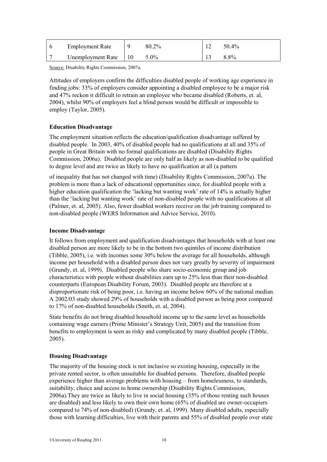| <b>Employment Rate</b> | 80.2%   | 50.4%   |
|------------------------|---------|---------|
| Unemployment Rate      | $0.0\%$ | $8.8\%$ |

Source: Disability Rights Commission, 2007a.

Attitudes of employers confirm the difficulties disabled people of working age experience in finding jobs: 33% of employers consider appointing a disabled employee to be a major risk and 47% reckon it difficult to retrain an employee who became disabled (Roberts, et. al, 2004), whilst 90% of employers feel a blind person would be difficult or impossible to employ (Taylor, 2005).

### <span id="page-9-0"></span>**Education Disadvantage**

The employment situation reflects the education/qualification disadvantage suffered by disabled people. In 2003, 40% of disabled people had no qualifications at all and 35% of people in Great Britain with no formal qualifications are disabled (Disability Rights Commission, 2006a). Disabled people are only half as likely as non-disabled to be qualified to degree level and are twice as likely to have no qualification at all (a pattern

of inequality that has not changed with time) (Disability Rights Commission, 2007a). The problem is more than a lack of educational opportunities since, for disabled people with a higher education qualification the 'lacking but wanting work' rate of 14% is actually higher than the 'lacking but wanting work' rate of non-disabled people with no qualifications at all (Palmer, et. al, 2005). Also, fewer disabled workers receive on the job training compared to non-disabled people (WERS Information and Advice Service, 2010).

### <span id="page-9-1"></span>**Income Disadvantage**

It follows from employment and qualification disadvantages that households with at least one disabled person are more likely to be in the bottom two quintiles of income distribution (Tibble, 2005), i.e. with incomes some 30% below the average for all households, although income per household with a disabled person does not vary greatly by severity of impairment (Grundy, et. al, 1999). Disabled people who share socio-economic group and job characteristics with people without disabilities earn up to 25% less than their non-disabled counterparts (European Disability Forum, 2003). Disabled people are therefore at a disproportionate risk of being poor, i.e. having an income below 60% of the national median. A 2002/03 study showed 29% of households with a disabled person as being poor compared to 17% of non-disabled households (Smith, et. al, 2004).

State benefits do not bring disabled household income up to the same level as households containing wage earners (Prime Minister's Strategy Unit, 2005) and the transition from benefits to employment is seen as risky and complicated by many disabled people (Tibble, 2005).

### <span id="page-9-2"></span>**Housing Disadvantage**

The majority of the housing stock is not inclusive so existing housing, especially in the private rented sector, is often unsuitable for disabled persons. Therefore, disabled people experience higher than average problems with housing – from homelessness, to standards, suitability, choice and access to home ownership (Disability Rights Commission, 2006a).They are twice as likely to live in social housing (35% of those renting such houses are disabled) and less likely to own their own home (65% of disabled are owner-occupiers compared to 74% of non-disabled) (Grundy, et. al, 1999). Many disabled adults, especially those with learning difficulties, live with their parents and 55% of disabled people over state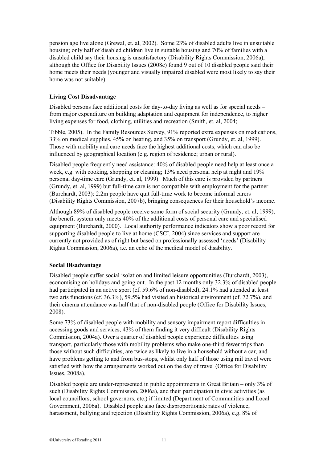pension age live alone (Grewal, et. al, 2002). Some 23% of disabled adults live in unsuitable housing; only half of disabled children live in suitable housing and 70% of families with a disabled child say their housing is unsatisfactory (Disability Rights Commission, 2006a), although the Office for Disability Issues (2008c) found 9 out of 10 disabled people said their home meets their needs (younger and visually impaired disabled were most likely to say their home was not suitable).

### <span id="page-10-0"></span>**Living Cost Disadvantage**

Disabled persons face additional costs for day-to-day living as well as for special needs – from major expenditure on building adaptation and equipment for independence, to higher living expenses for food, clothing, utilities and recreation (Smith, et. al, 2004;

Tibble, 2005). In the Family Resources Survey, 91% reported extra expenses on medications, 33% on medical supplies, 45% on heating, and 35% on transport (Grundy, et. al, 1999). Those with mobility and care needs face the highest additional costs, which can also be influenced by geographical location (e.g. region of residence; urban or rural).

Disabled people frequently need assistance: 40% of disabled people need help at least once a week, e.g. with cooking, shopping or cleaning; 13% need personal help at night and 19% personal day-time care (Grundy, et. al, 1999). Much of this care is provided by partners (Grundy, et. al, 1999) but full-time care is not compatible with employment for the partner (Burchardt, 2003): 2.2m people have quit full-time work to become informal carers (Disability Rights Commission, 2007b), bringing consequences for their household's income.

Although 89% of disabled people receive some form of social security (Grundy, et. al, 1999), the benefit system only meets 40% of the additional costs of personal care and specialised equipment (Burchardt, 2000). Local authority performance indicators show a poor record for supporting disabled people to live at home (CSCI, 2004) since services and support are currently not provided as of right but based on professionally assessed 'needs' (Disability Rights Commission, 2006a), i.e. an echo of the medical model of disability.

### <span id="page-10-1"></span>**Social Disadvantage**

Disabled people suffer social isolation and limited leisure opportunities (Burchardt, 2003), economising on holidays and going out. In the past 12 months only 32.3% of disabled people had participated in an active sport (cf. 59.6% of non-disabled), 24.1% had attended at least two arts functions (cf. 36.3%), 59.5% had visited an historical environment (cf. 72.7%), and their cinema attendance was half that of non-disabled people (Office for Disability Issues, 2008).

Some 73% of disabled people with mobility and sensory impairment report difficulties in accessing goods and services, 43% of them finding it very difficult (Disability Rights Commission, 2004a). Over a quarter of disabled people experience difficulties using transport, particularly those with mobility problems who make one-third fewer trips than those without such difficulties, are twice as likely to live in a household without a car, and have problems getting to and from bus-stops, whilst only half of those using rail travel were satisfied with how the arrangements worked out on the day of travel (Office for Disability Issues, 2008a).

Disabled people are under-represented in public appointments in Great Britain – only 3% of such (Disability Rights Commission, 2006a), and their participation in civic activities (as local councillors, school governors, etc.) if limited (Department of Communities and Local Government, 2006a). Disabled people also face disproportionate rates of violence, harassment, bullying and rejection (Disability Rights Commission, 2006a), e.g. 8% of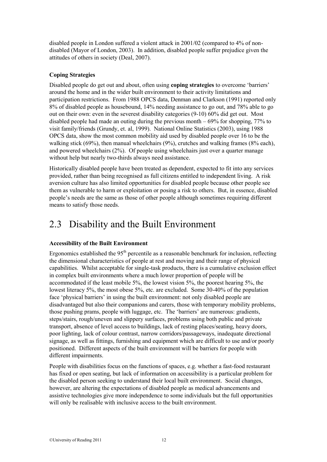disabled people in London suffered a violent attack in 2001/02 (compared to 4% of nondisabled (Mayor of London, 2003). In addition, disabled people suffer prejudice given the attitudes of others in society (Deal, 2007).

### <span id="page-11-0"></span>**Coping Strategies**

Disabled people do get out and about, often using **coping strategies** to overcome 'barriers' around the home and in the wider built environment to their activity limitations and participation restrictions. From 1988 OPCS data, Denman and Clarkson (1991) reported only 8% of disabled people as housebound, 14% needing assistance to go out, and 78% able to go out on their own: even in the severest disability categories (9-10) 60% did get out. Most disabled people had made an outing during the previous month  $-69%$  for shopping, 77% to visit family/friends (Grundy, et. al, 1999). National Online Statistics (2003), using 1988 OPCS data, show the most common mobility aid used by disabled people over 16 to be the walking stick (69%), then manual wheelchairs (9%), crutches and walking frames (8% each), and powered wheelchairs (2%). Of people using wheelchairs just over a quarter manage without help but nearly two-thirds always need assistance.

Historically disabled people have been treated as dependent, expected to fit into any services provided, rather than being recognised as full citizens entitled to independent living. A risk aversion culture has also limited opportunities for disabled people because other people see them as vulnerable to harm or exploitation or posing a risk to others. But, in essence, disabled people's needs are the same as those of other people although sometimes requiring different means to satisfy those needs.

### <span id="page-11-1"></span>2.3 Disability and the Built Environment

### <span id="page-11-2"></span>**Accessibility of the Built Environment**

Ergonomics established the  $95<sup>th</sup>$  percentile as a reasonable benchmark for inclusion, reflecting the dimensional characteristics of people at rest and moving and their range of physical capabilities. Whilst acceptable for single-task products, there is a cumulative exclusion effect in complex built environments where a much lower proportion of people will be accommodated if the least mobile 5%, the lowest vision 5%, the poorest hearing 5%, the lowest literacy 5%, the most obese 5%, etc. are excluded. Some 30-40% of the population face 'physical barriers' in using the built environment: not only disabled people are disadvantaged but also their companions and carers, those with temporary mobility problems, those pushing prams, people with luggage, etc. The 'barriers' are numerous: gradients, steps/stairs, rough/uneven and slippery surfaces, problems using both public and private transport, absence of level access to buildings, lack of resting places/seating, heavy doors, poor lighting, lack of colour contrast, narrow corridors/passageways, inadequate directional signage, as well as fittings, furnishing and equipment which are difficult to use and/or poorly positioned. Different aspects of the built environment will be barriers for people with different impairments.

People with disabilities focus on the functions of spaces, e.g. whether a fast-food restaurant has fixed or open seating, but lack of information on accessibility is a particular problem for the disabled person seeking to understand their local built environment. Social changes, however, are altering the expectations of disabled people as medical advancements and assistive technologies give more independence to some individuals but the full opportunities will only be realisable with inclusive access to the built environment.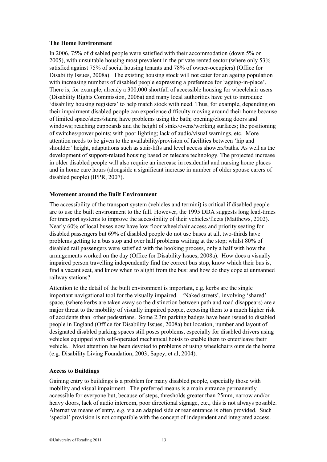### <span id="page-12-0"></span>**The Home Environment**

In 2006, 75% of disabled people were satisfied with their accommodation (down 5% on 2005), with unsuitable housing most prevalent in the private rented sector (where only 53% satisfied against 75% of social housing tenants and 78% of owner-occupiers) (Office for Disability Issues, 2008a). The existing housing stock will not cater for an ageing population with increasing numbers of disabled people expressing a preference for 'ageing-in-place'. There is, for example, already a 300,000 shortfall of accessible housing for wheelchair users (Disability Rights Commission, 2006a) and many local authorities have yet to introduce 'disability housing registers' to help match stock with need. Thus, for example, depending on their impairment disabled people can experience difficulty moving around their home because of limited space/steps/stairs; have problems using the bath; opening/closing doors and windows; reaching cupboards and the height of sinks/ovens/working surfaces; the positioning of switches/power points; with poor lighting; lack of audio/visual warnings, etc. More attention needs to be given to the availability/provision of facilities between 'hip and shoulder' height, adaptations such as stair-lifts and level access showers/baths. As well as the development of support-related housing based on telecare technology. The projected increase in older disabled people will also require an increase in residential and nursing home places and in home care hours (alongside a significant increase in number of older spouse carers of disabled people) (IPPR, 2007).

### <span id="page-12-1"></span>**Movement around the Built Environment**

The accessibility of the transport system (vehicles and termini) is critical if disabled people are to use the built environment to the full. However, the 1995 DDA suggests long lead-times for transport systems to improve the accessibility of their vehicles/fleets (Matthews, 2002). Nearly 60% of local buses now have low floor wheelchair access and priority seating for disabled passengers but 69% of disabled people do not use buses at all, two-thirds have problems getting to a bus stop and over half problems waiting at the stop; whilst 80% of disabled rail passengers were satisfied with the booking process, only a half with how the arrangements worked on the day (Office for Disability Issues, 2008a). How does a visually impaired person travelling independently find the correct bus stop, know which their bus is, find a vacant seat, and know when to alight from the bus: and how do they cope at unmanned railway stations?

Attention to the detail of the built environment is important, e.g. kerbs are the single important navigational tool for the visually impaired. 'Naked streets', involving 'shared' space, (where kerbs are taken away so the distinction between path and road disappears) are a major threat to the mobility of visually impaired people, exposing them to a much higher risk of accidents than other pedestrians. Some 2.3m parking badges have been issued to disabled people in England (Office for Disability Issues, 2008a) but location, number and layout of designated disabled parking spaces still poses problems, especially for disabled drivers using vehicles equipped with self-operated mechanical hoists to enable them to enter/leave their vehicle.. Most attention has been devoted to problems of using wheelchairs outside the home (e.g. Disability Living Foundation, 2003; Sapey, et al, 2004).

### <span id="page-12-2"></span>**Access to Buildings**

Gaining entry to buildings is a problem for many disabled people, especially those with mobility and visual impairment. The preferred means is a main entrance permanently accessible for everyone but, because of steps, thresholds greater than 25mm, narrow and/or heavy doors, lack of audio intercom, poor directional signage, etc., this is not always possible. Alternative means of entry, e.g. via an adapted side or rear entrance is often provided. Such 'special' provision is not compatible with the concept of independent and integrated access.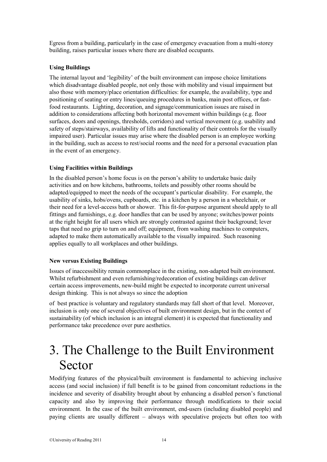Egress from a building, particularly in the case of emergency evacuation from a multi-storey building, raises particular issues where there are disabled occupants.

### <span id="page-13-0"></span>**Using Buildings**

The internal layout and 'legibility' of the built environment can impose choice limitations which disadvantage disabled people, not only those with mobility and visual impairment but also those with memory/place orientation difficulties: for example, the availability, type and positioning of seating or entry lines/queuing procedures in banks, main post offices, or fastfood restaurants. Lighting, decoration, and signage/communication issues are raised in addition to considerations affecting both horizontal movement within buildings (e.g. floor surfaces, doors and openings, thresholds, corridors) and vertical movement (e.g. usability and safety of steps/stairways, availability of lifts and functionality of their controls for the visually impaired user). Particular issues may arise where the disabled person is an employee working in the building, such as access to rest/social rooms and the need for a personal evacuation plan in the event of an emergency.

### <span id="page-13-1"></span>**Using Facilities within Buildings**

In the disabled person's home focus is on the person's ability to undertake basic daily activities and on how kitchens, bathrooms, toilets and possibly other rooms should be adapted/equipped to meet the needs of the occupant's particular disability. For example, the usability of sinks, hobs/ovens, cupboards, etc. in a kitchen by a person in a wheelchair, or their need for a level-access bath or shower. This fit-for-purpose argument should apply to all fittings and furnishings, e.g. door handles that can be used by anyone; switches/power points at the right height for all users which are strongly contrasted against their background; lever taps that need no grip to turn on and off; equipment, from washing machines to computers, adapted to make them automatically available to the visually impaired. Such reasoning applies equally to all workplaces and other buildings.

### <span id="page-13-2"></span>**New versus Existing Buildings**

Issues of inaccessibility remain commonplace in the existing, non-adapted built environment. Whilst refurbishment and even refurnishing/redecoration of existing buildings can deliver certain access improvements, new-build might be expected to incorporate current universal design thinking. This is not always so since the adoption

of best practice is voluntary and regulatory standards may fall short of that level. Moreover, inclusion is only one of several objectives of built environment design, but in the context of sustainability (of which inclusion is an integral element) it is expected that functionality and performance take precedence over pure aesthetics.

## <span id="page-13-3"></span>3. The Challenge to the Built Environment Sector

Modifying features of the physical/built environment is fundamental to achieving inclusive access (and social inclusion) if full benefit is to be gained from concomitant reductions in the incidence and severity of disability brought about by enhancing a disabled person's functional capacity and also by improving their performance through modifications to their social environment. In the case of the built environment, end-users (including disabled people) and paying clients are usually different – always with speculative projects but often too with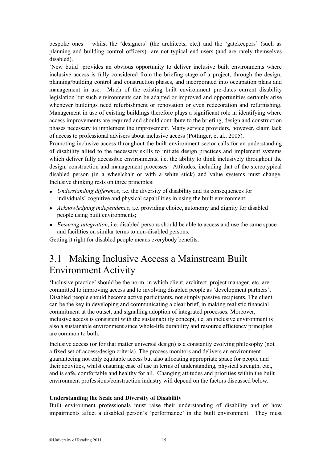bespoke ones – whilst the 'designers' (the architects, etc.) and the 'gatekeepers' (such as planning and building control officers) are not typical end users (and are rarely themselves disabled).

'New build' provides an obvious opportunity to deliver inclusive built environments where inclusive access is fully considered from the briefing stage of a project, through the design, planning/building control and construction phases, and incorporated into occupation plans and management in use. Much of the existing built environment pre-dates current disability legislation but such environments can be adapted or improved and opportunities certainly arise whenever buildings need refurbishment or renovation or even redecoration and refurnishing. Management in use of existing buildings therefore plays a significant role in identifying where access improvements are required and should contribute to the briefing, design and construction phases necessary to implement the improvement. Many service providers, however, claim lack of access to professional advisers about inclusive access (Pottinger, et al., 2005).

Promoting inclusive access throughout the built environment sector calls for an understanding of disability allied to the necessary skills to initiate design practices and implement systems which deliver fully accessible environments, i.e. the ability to think inclusively throughout the design, construction and management processes. Attitudes, including that of the stereotypical disabled person (in a wheelchair or with a white stick) and value systems must change. Inclusive thinking rests on three principles:

- *Understanding difference*, i.e. the diversity of disability and its consequences for individuals' cognitive and physical capabilities in using the built environment;
- *Acknowledging independence*, i.e. providing choice, autonomy and dignity for disabled people using built environments;
- *Ensuring integration*, i.e. disabled persons should be able to access and use the same space and facilities on similar terms to non-disabled persons.

<span id="page-14-0"></span>Getting it right for disabled people means everybody benefits.

### 3.1 Making Inclusive Access a Mainstream Built Environment Activity

'Inclusive practice' should be the norm, in which client, architect, project manager, etc. are committed to improving access and to involving disabled people as 'development partners'. Disabled people should become active participants, not simply passive recipients. The client can be the key in developing and communicating a clear brief, in making realistic financial commitment at the outset, and signalling adoption of integrated processes. Moreover, inclusive access is consistent with the sustainability concept, i.e. an inclusive environment is also a sustainable environment since whole-life durability and resource efficiency principles are common to both.

Inclusive access (or for that matter universal design) is a constantly evolving philosophy (not a fixed set of access/design criteria). The process monitors and delivers an environment guaranteeing not only equitable access but also allocating appropriate space for people and their activities, whilst ensuring ease of use in terms of understanding, physical strength, etc., and is safe, comfortable and healthy for all. Changing attitudes and priorities within the built environment professions/construction industry will depend on the factors discussed below.

### <span id="page-14-1"></span>**Understanding the Scale and Diversity of Disability**

Built environment professionals must raise their understanding of disability and of how impairments affect a disabled person's 'performance' in the built environment. They must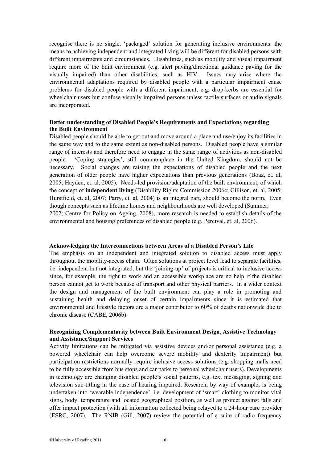recognise there is no single, 'packaged' solution for generating inclusive environments: the means to achieving independent and integrated living will be different for disabled persons with different impairments and circumstances. Disabilities, such as mobility and visual impairment require more of the built environment (e.g. alert paving/directional guidance paving for the visually impaired) than other disabilities, such as HIV. Issues may arise where the environmental adaptations required by disabled people with a particular impairment cause problems for disabled people with a different impairment, e.g. drop-kerbs are essential for wheelchair users but confuse visually impaired persons unless tactile surfaces or audio signals are incorporated.

### <span id="page-15-0"></span>**Better understanding of Disabled People's Requirements and Expectations regarding the Built Environment**

Disabled people should be able to get out and move around a place and use/enjoy its facilities in the same way and to the same extent as non-disabled persons. Disabled people have a similar range of interests and therefore need to engage in the same range of activities as non-disabled people. 'Coping strategies', still commonplace in the United Kingdom, should not be necessary. Social changes are raising the expectations of disabled people and the next generation of older people have higher expectations than previous generations (Boaz, et. al, 2005; Hayden, et. al, 2005). Needs-led provision/adaptation of the built environment, of which the concept of **independent living** (Disability Rights Commission 2006c; Gillison, et. al, 2005; Hurstfield, et. al, 2007; Parry, et. al, 2004) is an integral part, should become the norm. Even though concepts such as lifetime homes and neighbourhoods are well developed (Summer, 2002; Centre for Policy on Ageing, 2008), more research is needed to establish details of the environmental and housing preferences of disabled people (e.g. Percival, et. al, 2006).

#### <span id="page-15-1"></span>**Acknowledging the Interconnections between Areas of a Disabled Person's Life**

The emphasis on an independent and integrated solution to disabled access must apply throughout the mobility-access chain. Often solutions at project level lead to separate facilities, i.e. independent but not integrated, but the 'joining-up' of projects is critical to inclusive access since, for example, the right to work and an accessible workplace are no help if the disabled person cannot get to work because of transport and other physical barriers. In a wider context the design and management of the built environment can play a role in promoting and sustaining health and delaying onset of certain impairments since it is estimated that environmental and lifestyle factors are a major contributor to 60% of deaths nationwide due to chronic disease (CABE, 2006b).

### <span id="page-15-2"></span>**Recognizing Complementarity between Built Environment Design, Assistive Technology and Assistance/Support Services**

Activity limitations can be mitigated via assistive devices and/or personal assistance (e.g. a powered wheelchair can help overcome severe mobility and dexterity impairment) but participation restrictions normally require inclusive access solutions (e.g. shopping malls need to be fully accessible from bus stops and car parks to personal wheelchair users). Developments in technology are changing disabled people's social patterns, e.g. text messaging, signing and television sub-titling in the case of hearing impaired. Research, by way of example, is being undertaken into 'wearable independence', i.e. development of 'smart' clothing to monitor vital signs, body temperature and located geographical position, as well as protect against falls and offer impact protection (with all information collected being relayed to a 24-hour care provider (ESRC, 2007). The RNIB (Gill, 2007) review the potential of a suite of radio frequency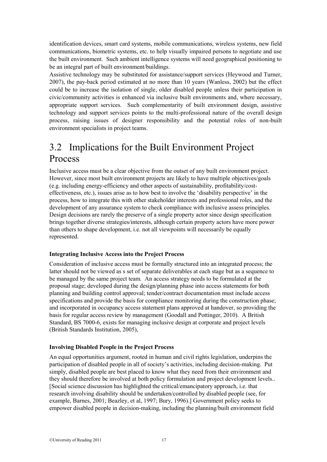identification devices, smart card systems, mobile communications, wireless systems, new field communications, biometric systems, etc. to help visually impaired persons to negotiate and use the built environment. Such ambient intelligence systems will need geographical positioning to be an integral part of built environment/buildings.

Assistive technology may be substituted for assistance/support services (Heywood and Turner, 2007), the pay-back period estimated at no more than 10 years (Wanless, 2002) but the effect could be to increase the isolation of single, older disabled people unless their participation in civic/community activities is enhanced via inclusive built environments and, where necessary, appropriate support services. Such complementarity of built environment design, assistive technology and support services points to the multi-professional nature of the overall design process, raising issues of designer responsibility and the potential roles of non-built environment specialists in project teams.

### <span id="page-16-0"></span>3.2 Implications for the Built Environment Project Process

Inclusive access must be a clear objective from the outset of any built environment project. However, since most built environment projects are likely to have multiple objectives/goals (e.g. including energy-efficiency and other aspects of sustainability, profitability/costeffectiveness, etc.), issues arise as to how best to involve the 'disability perspective' in the process, how to integrate this with other stakeholder interests and professional roles, and the development of any assurance system to check compliance with inclusive assess principles. Design decisions are rarely the preserve of a single property actor since design specification brings together diverse strategies/interests, although certain property actors have more power than others to shape development, i.e. not all viewpoints will necessarily be equally represented.

### <span id="page-16-1"></span>**Integrating Inclusive Access into the Project Process**

Consideration of inclusive access must be formally structured into an integrated process; the latter should not be viewed as s set of separate deliverables at each stage but as a sequence to be managed by the same project team. An access strategy needs to be formulated at the proposal stage; developed during the design/planning phase into access statements for both planning and building control approval; tender/contract documentation must include access specifications and provide the basis for compliance monitoring during the construction phase; and incorporated in occupancy access statement plans approved at handover, so providing the basis for regular access review by management (Goodall and Pottinger, 2010). A British Standard, BS 7000-6, exists for managing inclusive design at corporate and project levels (British Standards Institution, 2005),

### <span id="page-16-2"></span>**Involving Disabled People in the Project Process**

An equal opportunities argument, rooted in human and civil rights legislation, underpins the participation of disabled people in all of society's activities, including decision-making. Put simply, disabled people are best placed to know what they need from their environment and they should therefore be involved at both policy formulation and project development levels.. [Social science discussion has highlighted the critical/emancipatory approach, i.e. that research involving disability should be undertaken/controlled by disabled people (see, for example, Barnes, 2001; Beazley, et al, 1997; Bury, 1996).] Government policy seeks to empower disabled people in decision-making, including the planning/built environment field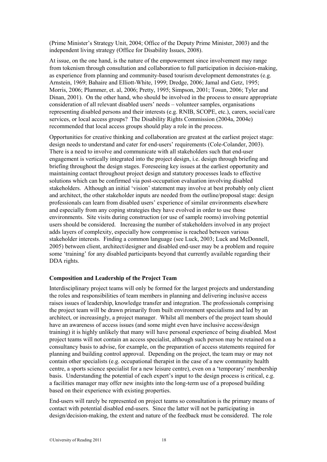(Prime Minister's Strategy Unit, 2004; Office of the Deputy Prime Minister, 2003) and the independent living strategy (Office for Disability Issues, 2008).

At issue, on the one hand, is the nature of the empowerment since involvement may range from tokenism through consultation and collaboration to full participation in decision-making, as experience from planning and community-based tourism development demonstrates (e.g. Arnstein, 1969; Bahaire and Elliott-White, 1999; Dredge, 2006; Jamal and Getz, 1995; Morris, 2006; Plummer, et. al, 2006; Pretty, 1995; Simpson, 2001; Tosun, 2006; Tyler and Dinan, 2001). On the other hand, who should be involved in the process to ensure appropriate consideration of all relevant disabled users' needs – volunteer samples, organisations representing disabled persons and their interests (e.g. RNIB, SCOPE, etc.), carers, social/care services, or local access groups? The Disability Rights Commission (2004a, 2004e) recommended that local access groups should play a role in the process.

Opportunities for creative thinking and collaboration are greatest at the earliest project stage: design needs to understand and cater for end-users' requirements (Cole-Colander, 2003). There is a need to involve and communicate with all stakeholders such that end-user engagement is vertically integrated into the project design, i.e. design through briefing and briefing throughout the design stages. Foreseeing key issues at the earliest opportunity and maintaining contact throughout project design and statutory processes leads to effective solutions which can be confirmed via post-occupation evaluation involving disabled stakeholders. Although an initial 'vision' statement may involve at best probably only client and architect, the other stakeholder inputs are needed from the outline/proposal stage: design professionals can learn from disabled users' experience of similar environments elsewhere and especially from any coping strategies they have evolved in order to use those environments. Site visits during construction (or use of sample rooms) involving potential users should be considered. Increasing the number of stakeholders involved in any project adds layers of complexity, especially how compromise is reached between various stakeholder interests. Finding a common language (see Luck, 2003; Luck and McDonnell, 2005) between client, architect/designer and disabled end-user may be a problem and require some 'training' for any disabled participants beyond that currently available regarding their DDA rights.

### <span id="page-17-0"></span>**Composition and Leadership of the Project Team**

Interdisciplinary project teams will only be formed for the largest projects and understanding the roles and responsibilities of team members in planning and delivering inclusive access raises issues of leadership, knowledge transfer and integration. The professionals comprising the project team will be drawn primarily from built environment specialisms and led by an architect, or increasingly, a project manager. Whilst all members of the project team should have an awareness of access issues (and some might even have inclusive access/design training) it is highly unlikely that many will have personal experience of being disabled. Most project teams will not contain an access specialist, although such person may be retained on a consultancy basis to advise, for example, on the preparation of access statements required for planning and building control approval. Depending on the project, the team may or may not contain other specialists (e.g. occupational therapist in the case of a new community health centre, a sports science specialist for a new leisure centre), even on a 'temporary' membership basis. Understanding the potential of each expert's input to the design process is critical, e.g. a facilities manager may offer new insights into the long-term use of a proposed building based on their experience with existing properties.

End-users will rarely be represented on project teams so consultation is the primary means of contact with potential disabled end-users. Since the latter will not be participating in design/decision-making, the extent and nature of the feedback must be considered. The role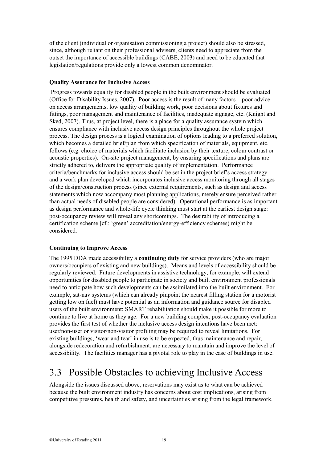of the client (individual or organisation commissioning a project) should also be stressed, since, although reliant on their professional advisers, clients need to appreciate from the outset the importance of accessible buildings (CABE, 2003) and need to be educated that legislation/regulations provide only a lowest common denominator.

#### <span id="page-18-0"></span>**Quality Assurance for Inclusive Access**

Progress towards equality for disabled people in the built environment should be evaluated (Office for Disability Issues, 2007). Poor access is the result of many factors – poor advice on access arrangements, low quality of building work, poor decisions about fixtures and fittings, poor management and maintenance of facilities, inadequate signage, etc. (Knight and Sked, 2007). Thus, at project level, there is a place for a quality assurance system which ensures compliance with inclusive access design principles throughout the whole project process. The design process is a logical examination of options leading to a preferred solution, which becomes a detailed brief/plan from which specification of materials, equipment, etc. follows (e.g. choice of materials which facilitate inclusion by their texture, colour contrast or acoustic properties). On-site project management, by ensuring specifications and plans are strictly adhered to, delivers the appropriate quality of implementation. Performance criteria/benchmarks for inclusive access should be set in the project brief's access strategy and a work plan developed which incorporates inclusive access monitoring through all stages of the design/construction process (since external requirements, such as design and access statements which now accompany most planning applications, merely ensure perceived rather than actual needs of disabled people are considered). Operational performance is as important as design performance and whole-life cycle thinking must start at the earliest design stage: post-occupancy review will reveal any shortcomings. The desirability of introducing a certification scheme [cf.: 'green' accreditation/energy-efficiency schemes) might be considered.

### <span id="page-18-1"></span>**Continuing to Improve Access**

The 1995 DDA made accessibility a **continuing duty** for service providers (who are major owners/occupiers of existing and new buildings). Means and levels of accessibility should be regularly reviewed. Future developments in assistive technology, for example, will extend opportunities for disabled people to participate in society and built environment professionals need to anticipate how such developments can be assimilated into the built environment. For example, sat-nav systems (which can already pinpoint the nearest filling station for a motorist getting low on fuel) must have potential as an information and guidance source for disabled users of the built environment; SMART rehabilitation should make it possible for more to continue to live at home as they age. For a new building complex, post-occupancy evaluation provides the first test of whether the inclusive access design intentions have been met: user/non-user or visitor/non-visitor profiling may be required to reveal limitations. For existing buildings, 'wear and tear' in use is to be expected, thus maintenance and repair, alongside redecoration and refurbishment, are necessary to maintain and improve the level of accessibility. The facilities manager has a pivotal role to play in the case of buildings in use.

### <span id="page-18-2"></span>3.3 Possible Obstacles to achieving Inclusive Access

Alongside the issues discussed above, reservations may exist as to what can be achieved because the built environment industry has concerns about cost implications, arising from competitive pressures, health and safety, and uncertainties arising from the legal framework.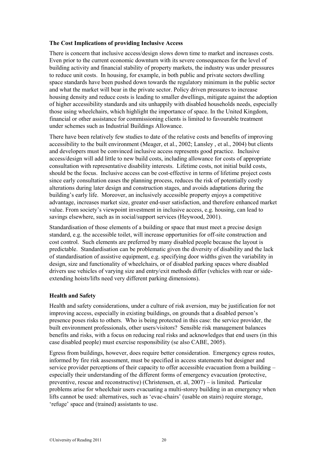### <span id="page-19-0"></span>**The Cost Implications of providing Inclusive Access**

There is concern that inclusive access/design slows down time to market and increases costs. Even prior to the current economic downturn with its severe consequences for the level of building activity and financial stability of property markets, the industry was under pressures to reduce unit costs. In housing, for example, in both public and private sectors dwelling space standards have been pushed down towards the regulatory minimum in the public sector and what the market will bear in the private sector. Policy driven pressures to increase housing density and reduce costs is leading to smaller dwellings, mitigate against the adoption of higher accessibility standards and sits unhappily with disabled households needs, especially those using wheelchairs, which highlight the importance of space. In the United Kingdom, financial or other assistance for commissioning clients is limited to favourable treatment under schemes such as Industrial Buildings Allowance.

There have been relatively few studies to date of the relative costs and benefits of improving accessibility to the built environment (Meager, et al., 2002; Lansley , et al., 2004) but clients and developers must be convinced inclusive access represents good practice. Inclusive access/design will add little to new build costs, including allowance for costs of appropriate consultation with representative disability interests. Lifetime costs, not initial build costs, should be the focus. Inclusive access can be cost-effective in terms of lifetime project costs since early consultation eases the planning process, reduces the risk of potentially costly alterations during later design and construction stages, and avoids adaptations during the building's early life. Moreover, an inclusively accessible property enjoys a competitive advantage, increases market size, greater end-user satisfaction, and therefore enhanced market value. From society's viewpoint investment in inclusive access, e.g. housing, can lead to savings elsewhere, such as in social/support services (Heywood, 2001).

Standardisation of those elements of a building or space that must meet a precise design standard, e.g. the accessible toilet, will increase opportunities for off-site construction and cost control. Such elements are preferred by many disabled people because the layout is predictable. Standardisation can be problematic given the diversity of disability and the lack of standardisation of assistive equipment, e.g. specifying door widths given the variability in design, size and functionality of wheelchairs, or of disabled parking spaces where disabled drivers use vehicles of varying size and entry/exit methods differ (vehicles with rear or sideextending hoists/lifts need very different parking dimensions).

### <span id="page-19-1"></span>**Health and Safety**

Health and safety considerations, under a culture of risk aversion, may be justification for not improving access, especially in existing buildings, on grounds that a disabled person's presence poses risks to others. Who is being protected in this case: the service provider, the built environment professionals, other users/visitors? Sensible risk management balances benefits and risks, with a focus on reducing real risks and acknowledges that end users (in this case disabled people) must exercise responsibility (se also CABE, 2005).

Egress from buildings, however, does require better consideration. Emergency egress routes, informed by fire risk assessment, must be specified in access statements but designer and service provider perceptions of their capacity to offer accessible evacuation from a building – especially their understanding of the different forms of emergency evacuation (protective, preventive, rescue and reconstructive) (Christensen, et. al, 2007) – is limited. Particular problems arise for wheelchair users evacuating a multi-storey building in an emergency when lifts cannot be used: alternatives, such as 'evac-chairs' (usable on stairs) require storage, 'refuge' space and (trained) assistants to use.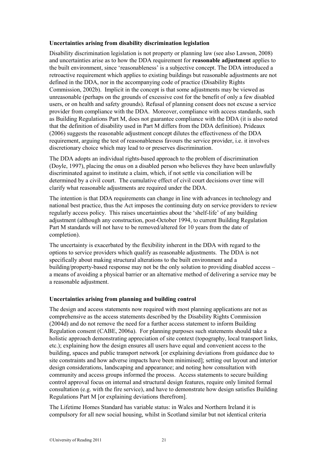#### <span id="page-20-0"></span>**Uncertainties arising from disability discrimination legislation**

Disability discrimination legislation is not property or planning law (see also Lawson, 2008) and uncertainties arise as to how the DDA requirement for **reasonable adjustment** applies to the built environment, since 'reasonableness' is a subjective concept. The DDA introduced a retroactive requirement which applies to existing buildings but reasonable adjustments are not defined in the DDA, nor in the accompanying code of practice (Disability Rights Commission, 2002b). Implicit in the concept is that some adjustments may be viewed as unreasonable (perhaps on the grounds of excessive cost for the benefit of only a few disabled users, or on health and safety grounds). Refusal of planning consent does not excuse a service provider from compliance with the DDA. Moreover, compliance with access standards, such as Building Regulations Part M, does not guarantee compliance with the DDA (it is also noted that the definition of disability used in Part M differs from the DDA definition). Prideaux (2006) suggests the reasonable adjustment concept dilutes the effectiveness of the DDA requirement, arguing the test of reasonableness favours the service provider, i.e. it involves discretionary choice which may lead to or preserves discrimination.

The DDA adopts an individual rights-based approach to the problem of discrimination (Doyle, 1997), placing the onus on a disabled person who believes they have been unlawfully discriminated against to institute a claim, which, if not settle via conciliation will be determined by a civil court. The cumulative effect of civil court decisions over time will clarify what reasonable adjustments are required under the DDA.

The intention is that DDA requirements can change in line with advances in technology and national best practice, thus the Act imposes the continuing duty on service providers to review regularly access policy. This raises uncertainties about the 'shelf-life' of any building adjustment (although any construction, post-October 1994, to current Building Regulation Part M standards will not have to be removed/altered for 10 years from the date of completion).

The uncertainty is exacerbated by the flexibility inherent in the DDA with regard to the options to service providers which qualify as reasonable adjustments. The DDA is not specifically about making structural alterations to the built environment and a building/property-based response may not be the only solution to providing disabled access – a means of avoiding a physical barrier or an alternative method of delivering a service may be a reasonable adjustment.

### <span id="page-20-1"></span>**Uncertainties arising from planning and building control**

The design and access statements now required with most planning applications are not as comprehensive as the access statements described by the Disability Rights Commission (2004d) and do not remove the need for a further access statement to inform Building Regulation consent (CABE, 2006a). For planning purposes such statements should take a holistic approach demonstrating appreciation of site context (topography, local transport links, etc.); explaining how the design ensures all users have equal and convenient access to the building, spaces and public transport network [or explaining deviations from guidance due to site constraints and how adverse impacts have been minimised]; setting out layout and interior design considerations, landscaping and appearance; and noting how consultation with community and access groups informed the process. Access statements to secure building control approval focus on internal and structural design features, require only limited formal consultation (e.g. with the fire service), and have to demonstrate how design satisfies Building Regulations Part M [or explaining deviations therefrom].

The Lifetime Homes Standard has variable status: in Wales and Northern Ireland it is compulsory for all new social housing, whilst in Scotland similar but not identical criteria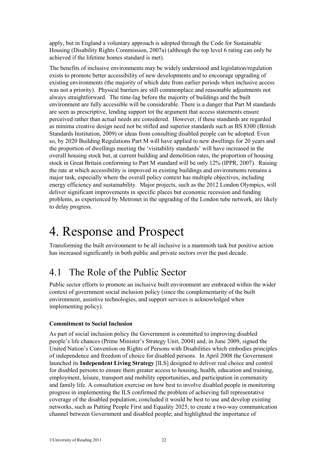apply, but in England a voluntary approach is adopted through the Code for Sustainable Housing (Disability Rights Commission, 2007a) (although the top level 6 rating can only be achieved if the lifetime homes standard is met).

The benefits of inclusive environments may be widely understood and legislation/regulation exists to promote better accessibility of new developments and to encourage upgrading of existing environments (the majority of which date from earlier periods when inclusive access was not a priority). Physical barriers are still commonplace and reasonable adjustments not always straightforward. The time-lag before the majority of buildings and the built environment are fully accessible will be considerable. There is a danger that Part M standards are seen as prescriptive, lending support tot the argument that access statements ensure perceived rather than actual needs are considered. However, if these standards are regarded as minima creative design need not be stifled and superior standards such as BS 8300 (British Standards Institution, 2009) or ideas from consulting disabled people can be adopted. Even so, by 2020 Building Regulations Part M will have applied to new dwellings for 20 years and the proportion of dwellings meeting the 'visitability standards' will have increased in the overall housing stock but, at current building and demolition rates, the proportion of housing stock in Great Britain conforming to Part M standard will be only 12% (IPPR, 2007). Raising the rate at which accessibility is improved in existing buildings and environments remains a major task, especially where the overall policy context has multiple objectives, including energy efficiency and sustainability. Major projects, such as the 2012 London Olympics, will deliver significant improvements in specific places but economic recession and funding problems, as experienced by Metronet in the upgrading of the London tube network, are likely to delay progress.

## <span id="page-21-0"></span>4. Response and Prospect

Transforming the built environment to be all inclusive is a mammoth task but positive action has increased significantly in both public and private sectors over the past decade.

### <span id="page-21-1"></span>4.1 The Role of the Public Sector

Public sector efforts to promote an inclusive built environment are embraced within the wider context of government social inclusion policy (since the complementarity of the built environment, assistive technologies, and support services is acknowledged when implementing policy).

### <span id="page-21-2"></span>**Commitment to Social Inclusion**

As part of social inclusion policy the Government is committed to improving disabled people's life chances (Prime Minister's Strategy Unit, 2004) and, in June 2009, signed the United Nation's Convention on Rights of Persons with Disabilities which embodies principles of independence and freedom of choice for disabled persons. In April 2008 the Government launched its **Independent Living Strategy** [ILS] designed to deliver real choice and control for disabled persons to ensure them greater access to housing, health, education and training, employment, leisure, transport and mobility opportunities, and participation in community and family life. A consultation exercise on how best to involve disabled people in monitoring progress in implementing the ILS confirmed the problem of achieving full representative coverage of the disabled population; concluded it would be best to use and develop existing networks, such as Putting People First and Equality 2025, to create a two-way communication channel between Government and disabled people; and highlighted the importance of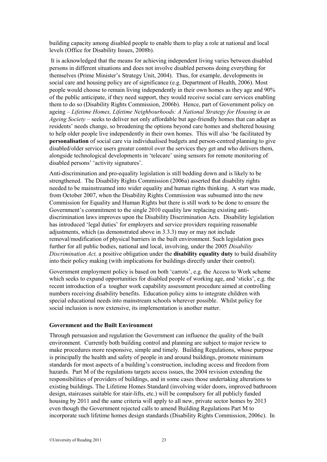building capacity among disabled people to enable them to play a role at national and local levels (Office for Disability Issues, 2008b).

It is acknowledged that the means for achieving independent living varies between disabled persons in different situations and does not involve disabled persons doing everything for themselves (Prime Minister's Strategy Unit, 2004). Thus, for example, developments in social care and housing policy are of significance (e.g. Department of Health, 2006). Most people would choose to remain living independently in their own homes as they age and 90% of the public anticipate, if they need support, they would receive social care services enabling them to do so (Disability Rights Commission, 2006b). Hence, part of Government policy on ageing – *Lifetime Homes, Lifetime Neighbourhoods: A National Strategy for Housing in an Ageing Society* – seeks to deliver not only affordable but age-friendly homes that can adapt as residents' needs change, so broadening the options beyond care homes and sheltered housing to help older people live independently in their own homes. This will also 'be facilitated by **personalisation** of social care via individualised budgets and person-centred planning to give disabled/older service users greater control over the services they get and who delivers them, alongside technological developments in 'telecare' using sensors for remote monitoring of disabled persons' 'activity signatures'.

Anti-discrimination and pro-equality legislation is still bedding down and is likely to be strengthened. The Disability Rights Commission (2006a) asserted that disability rights needed to be mainstreamed into wider equality and human rights thinking. A start was made, from October 2007, when the Disability Rights Commission was subsumed into the new Commission for Equality and Human Rights but there is still work to be done to ensure the Government's commitment to the single 2010 equality law replacing existing antidiscrimination laws improves upon the Disability Discrimination Acts. Disability legislation has introduced 'legal duties' for employers and service providers requiring reasonable adjustments, which (as demonstrated above in 3.3.3) may or may not include removal/modification of physical barriers in the built environment. Such legislation goes further for all public bodies, national and local, involving, under the 2005 *Disability Discrimination Act,* a positive obligation under the **disability equality duty** to build disability into their policy making (with implications for buildings directly under their control).

Government employment policy is based on both 'carrots', e.g. the Access to Work scheme which seeks to expand opportunities for disabled people of working age, and 'sticks', e.g. the recent introduction of a tougher work capability assessment procedure aimed at controlling numbers receiving disability benefits. Education policy aims to integrate children with special educational needs into mainstream schools wherever possible. Whilst policy for social inclusion is now extensive, its implementation is another matter.

#### <span id="page-22-0"></span>**Government and the Built Environment**

Through persuasion and regulation the Government can influence the quality of the built environment. Currently both building control and planning are subject to major review to make procedures more responsive, simple and timely. Building Regulations, whose purpose is principally the health and safety of people in and around buildings, promote minimum standards for most aspects of a building's construction, including access and freedom from hazards. Part M of the regulations targets access issues, the 2004 revision extending the responsibilities of providers of buildings, and in some cases those undertaking alterations to existing buildings. The Lifetime Homes Standard (involving wider doors, improved bathroom design, staircases suitable for stair-lifts, etc.) will be compulsory for all publicly funded housing by 2011 and the same criteria will apply to all new, private sector homes by 2013 even though the Government rejected calls to amend Building Regulations Part M to incorporate such lifetime homes design standards (Disability Rights Commission, 2006c). In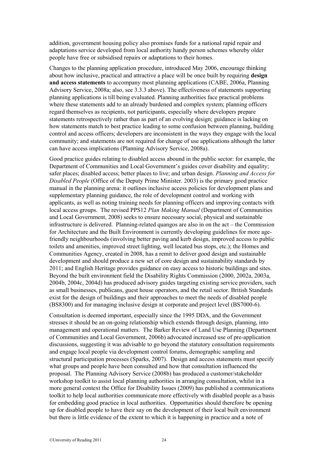addition, government housing policy also promises funds for a national rapid repair and adaptations service developed from local authority handy person schemes whereby older people have free or subsidised repairs or adaptations to their homes.

Changes to the planning application procedure, introduced May 2006, encourage thinking about how inclusive, practical and attractive a place will be once built by requiring **design and access statements** to accompany most planning applications (CABE, 2006a, Planning Advisory Service, 2008a; also, see 3.3.3 above). The effectiveness of statements supporting planning applications is till being evaluated. Planning authorities face practical problems where these statements add to an already burdened and complex system; planning officers regard themselves as recipients, not participants, especially where developers prepare statements retrospectively rather than as part of an evolving design; guidance is lacking on how statements match to best practice leading to some confusion between planning, building control and access officers; developers are inconsistent in the ways they engage with the local community; and statements are not required for change of use applications although the latter can have access implications (Planning Advisory Service, 2008a).

Good practice guides relating to disabled access abound in the public sector: for example, the Department of Communities and Local Government's guides cover disability and equality; safer places; disabled access; better places to live; and urban design. *Planning and Access for Disabled People* (Office of the Deputy Prime Minister. 2003) is the primary good practice manual in the planning arena: it outlines inclusive access policies for development plans and supplementary planning guidance, the role of development control and working with applicants, as well as noting training needs for planning officers and improving contacts with local access groups. The revised PPS12 *Plan Making Manual* (Department of Communities and Local Government, 2008) seeks to ensure necessary social, physical and sustainable infrastructure is delivered. Planning-related quangos are also in on the act – the Commission for Architecture and the Built Environment is currently developing guidelines for more agefriendly neighbourhoods (involving better paving and kerb design, improved access to public toilets and amenities, improved street lighting, well located bus stops, etc.); the Homes and Communities Agency, created in 2008, has a remit to deliver good design and sustainable development and should produce a new set of core design and sustainability standards by 2011; and English Heritage provides guidance on easy access to historic buildings and sites. Beyond the built environment field the Disability Rights Commission (2000, 2002a, 2003a, 2004b, 2004c, 2004d) has produced advisory guides targeting existing service providers, such as small businesses, publicans, guest house operators, and the retail sector. British Standards exist for the design of buildings and their approaches to meet the needs of disabled people (BS8300) and for managing inclusive design at corporate and project level (BS7000-6).

Consultation is deemed important, especially since the 1995 DDA, and the Government stresses it should be an on-going relationship which extends through design, planning, into management and operational matters. The Barker Review of Land Use Planning (Department of Communities and Local Government, 2006b) advocated increased use of pre-application discussions, suggesting it was advisable to go beyond the statutory consultation requirements and engage local people via development control forums, demographic sampling and structural participation processes (Sparks, 2007). Design and access statements must specify what groups and people have been consulted and how that consultation influenced the proposal. The Planning Advisory Service (2008b) has produced a customer/stakeholder workshop toolkit to assist local planning authorities in arranging consultation, whilst in a more general context the Office for Disability Issues (2009) has published a communications toolkit to help local authorities communicate more effectively with disabled people as a basis for embedding good practice in local authorities. Opportunities should therefore be opening up for disabled people to have their say on the development of their local built environment but there is little evidence of the extent to which it is happening in practice and a note of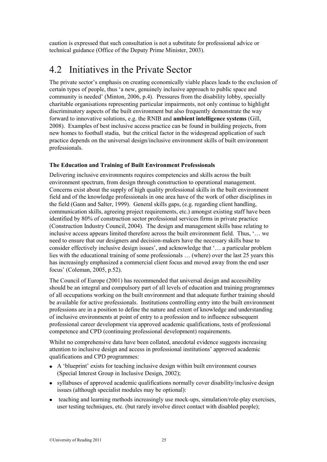caution is expressed that such consultation is not a substitute for professional advice or technical guidance (Office of the Deputy Prime Minister, 2003).

### <span id="page-24-0"></span>4.2 Initiatives in the Private Sector

The private sector's emphasis on creating economically viable places leads to the exclusion of certain types of people, thus 'a new, genuinely inclusive approach to public space and community is needed' (Minton, 2006, p.4). Pressures from the disability lobby, specially charitable organisations representing particular impairments, not only continue to highlight discriminatory aspects of the built environment but also frequently demonstrate the way forward to innovative solutions, e.g. the RNIB and **ambient intelligence systems** (Gill, 2008). Examples of best inclusive access practice can be found in building projects, from new homes to football stadia, but the critical factor in the widespread application of such practice depends on the universal design/inclusive environment skills of built environment professionals.

### <span id="page-24-1"></span>**The Education and Training of Built Environment Professionals**

Delivering inclusive environments requires competencies and skills across the built environment spectrum, from design through construction to operational management. Concerns exist about the supply of high quality professional skills in the built environment field and of the knowledge professionals in one area have of the work of other disciplines in the field (Gann and Salter, 1999). General skills gaps, (e.g. regarding client handling, communication skills, agreeing project requirements, etc.) amongst existing staff have been identified by 80% of construction sector professional services firms in private practice (Construction Industry Council, 2004). The design and management skills base relating to inclusive access appears limited therefore across the built environment field. Thus, '… we need to ensure that our designers and decision-makers have the necessary skills base to consider effectively inclusive design issues', and acknowledge that '… a particular problem lies with the educational training of some professionals … (where) over the last 25 years this has increasingly emphasized a commercial client focus and moved away from the end user focus' (Coleman, 2005, p.52).

The Council of Europe (2001) has recommended that universal design and accessibility should be an integral and compulsory part of all levels of education and training programmes of all occupations working on the built environment and that adequate further training should be available for active professionals. Institutions controlling entry into the built environment professions are in a position to define the nature and extent of knowledge and understanding of inclusive environments at point of entry to a profession and to influence subsequent professional career development via approved academic qualifications, tests of professional competence and CPD (continuing professional development) requirements.

Whilst no comprehensive data have been collated, anecdotal evidence suggests increasing attention to inclusive design and access in professional institutions' approved academic qualifications and CPD programmes:

- A 'blueprint' exists for teaching inclusive design within built environment courses (Special Interest Group in Inclusive Design, 2002);
- syllabuses of approved academic qualifications normally cover disability/inclusive design issues (although specialist modules may be optional):
- teaching and learning methods increasingly use mock-ups, simulation/role-play exercises, user testing techniques, etc. (but rarely involve direct contact with disabled people);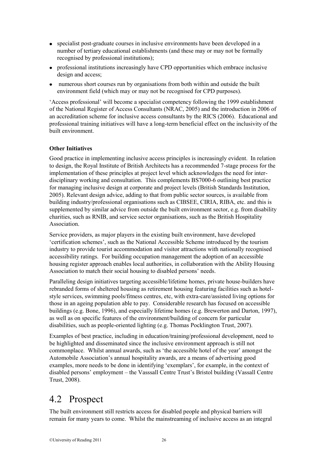- specialist post-graduate courses in inclusive environments have been developed in a number of tertiary educational establishments (and these may or may not be formally recognised by professional institutions);
- professional institutions increasingly have CPD opportunities which embrace inclusive design and access;
- numerous short courses run by organisations from both within and outside the built environment field (which may or may not be recognised for CPD purposes).

'Access professional' will become a specialist competency following the 1999 establishment of the National Register of Access Consultants (NRAC, 2005) and the introduction in 2006 of an accreditation scheme for inclusive access consultants by the RICS (2006). Educational and professional training initiatives will have a long-term beneficial effect on the inclusivity of the built environment.

### <span id="page-25-0"></span>**Other Initiatives**

Good practice in implementing inclusive access principles is increasingly evident. In relation to design, the Royal Institute of British Architects has a recommended 7-stage process for the implementation of these principles at project level which acknowledges the need for interdisciplinary working and consultation. This complements BS7000-6 outlining best practice for managing inclusive design at corporate and project levels (British Standards Institution, 2005). Relevant design advice, adding to that from public sector sources, is available from building industry/professional organisations such as CIBSEE, CIRIA, RIBA, etc. and this is supplemented by similar advice from outside the built environment sector, e.g. from disability charities, such as RNIB, and service sector organisations, such as the British Hospitality Association.

Service providers, as major players in the existing built environment, have developed 'certification schemes', such as the National Accessible Scheme introduced by the tourism industry to provide tourist accommodation and visitor attractions with nationally recognised accessibility ratings. For building occupation management the adoption of an accessible housing register approach enables local authorities, in collaboration with the Ability Housing Association to match their social housing to disabled persons' needs.

Paralleling design initiatives targeting accessible/lifetime homes, private house-builders have rebranded forms of sheltered housing as retirement housing featuring facilities such as hotelstyle services, swimming pools/fitness centres, etc, with extra-care/assisted living options for those in an ageing population able to pay. Considerable research has focused on accessible buildings (e.g. Bone, 1996), and especially lifetime homes (e.g. Brewerton and Darton, 1997), as well as on specific features of the environment/building of concern for particular disabilities, such as people-oriented lighting (e.g. Thomas Pocklington Trust, 2007).

Examples of best practice, including in education/training/professional development, need to be highlighted and disseminated since the inclusive environment approach is still not commonplace. Whilst annual awards, such as 'the accessible hotel of the year' amongst the Automobile Association's annual hospitality awards, are a means of advertising good examples, more needs to be done in identifying 'exemplars', for example, in the context of disabled persons' employment – the Vasssall Centre Trust's Bristol building (Vassall Centre Trust, 2008).

### <span id="page-25-1"></span>4.2 Prospect

The built environment still restricts access for disabled people and physical barriers will remain for many years to come. Whilst the mainstreaming of inclusive access as an integral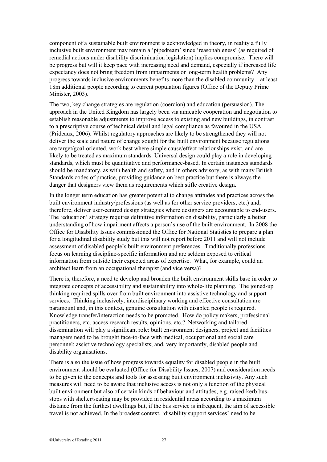component of a sustainable built environment is acknowledged in theory, in reality a fully inclusive built environment may remain a 'pipedream' since 'reasonableness' (as required of remedial actions under disability discrimination legislation) implies compromise. There will be progress but will it keep pace with increasing need and demand, especially if increased life expectancy does not bring freedom from impairments or long-term health problems? Any progress towards inclusive environments benefits more than the disabled community – at least 18m additional people according to current population figures (Office of the Deputy Prime Minister, 2003).

The two, key change strategies are regulation (coercion) and education (persuasion). The approach in the United Kingdom has largely been via amicable cooperation and negotiation to establish reasonable adjustments to improve access to existing and new buildings, in contrast to a prescriptive course of technical detail and legal compliance as favoured in the USA (Prideaux, 2006). Whilst regulatory approaches are likely to be strengthened they will not deliver the scale and nature of change sought for the built environment because regulations are target/goal-oriented, work best where simple cause/effect relationships exist, and are likely to be treated as maximum standards. Universal design could play a role in developing standards, which must be quantitative and performance-based. In certain instances standards should be mandatory, as with health and safety, and in others advisory, as with many British Standards codes of practice, providing guidance on best practice but there is always the danger that designers view them as requirements which stifle creative design.

In the longer term education has greater potential to change attitudes and practices across the built environment industry/professions (as well as for other service providers, etc.) and, therefore, deliver user-centred design strategies where designers are accountable to end-users. The 'education' strategy requires definitive information on disability, particularly a better understanding of how impairment affects a person's use of the built environment. In 2008 the Office for Disability Issues commissioned the Office for National Statistics to prepare a plan for a longitudinal disability study but this will not report before 2011 and will not include assessment of disabled people's built environment preferences. Traditionally professions focus on learning discipline-specific information and are seldom exposed to critical information from outside their expected areas of expertise. What, for example, could an architect learn from an occupational therapist (and vice versa)?

There is, therefore, a need to develop and broaden the built environment skills base in order to integrate concepts of accessibility and sustainability into whole-life planning. The joined-up thinking required spills over from built environment into assistive technology and support services. Thinking inclusively, interdisciplinary working and effective consultation are paramount and, in this context, genuine consultation with disabled people is required. Knowledge transfer/interaction needs to be promoted. How do policy makers, professional practitioners, etc. access research results, opinions, etc.? Networking and tailored dissemination will play a significant role: built environment designers, project and facilities managers need to be brought face-to-face with medical, occupational and social care personnel; assistive technology specialists; and, very importantly, disabled people and disability organisations.

There is also the issue of how progress towards equality for disabled people in the built environment should be evaluated (Office for Disability Issues, 2007) and consideration needs to be given to the concepts and tools for assessing built environment inclusivity. Any such measures will need to be aware that inclusive access is not only a function of the physical built environment but also of certain kinds of behaviour and attitudes, e.g. raised-kerb busstops with shelter/seating may be provided in residential areas according to a maximum distance from the furthest dwellings but, if the bus service is infrequent, the aim of accessible travel is not achieved. In the broadest context, 'disability support services' need to be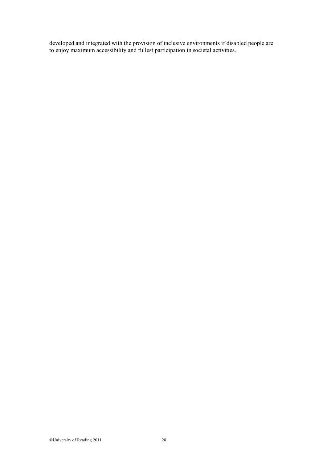<span id="page-27-0"></span>developed and integrated with the provision of inclusive environments if disabled people are to enjoy maximum accessibility and fullest participation in societal activities.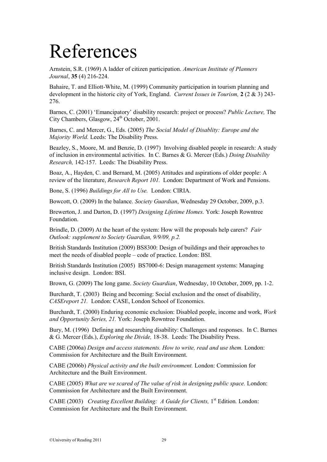# References

Arnstein, S.R. (1969) A ladder of citizen participation. *American Institute of Planners Journal*, **35** (4) 216-224.

Bahaire, T. and Elliott-White, M. (1999) Community participation in tourism planning and development in the historic city of York, England. *Current Issues in Tourism,* **2** (2 & 3) 243- 276.

Barnes, C. (2001) 'Emancipatory' disability research: project or process? *Public Lecture,* The City Chambers, Glasgow, 24<sup>th</sup> October, 2001.

Barnes, C. and Mercer, G., Eds. (2005) *The Social Model of Disablity: Europe and the Majority World.* Leeds: The Disability Press.

Beazley, S., Moore, M. and Benzie, D. (1997) Involving disabled people in research: A study of inclusion in environmental activities. In C. Barnes & G. Mercer (Eds.) *Doing Disability Research,* 142-157. Leeds: The Disability Press.

Boaz, A., Hayden, C. and Bernard, M. (2005) Attitudes and aspirations of older people: A review of the literature, *Research Report 101.* London: Department of Work and Pensions.

Bone, S. (1996) *Buildings for All to Use.* London: CIRIA.

Bowcott, O. (2009) In the balance. *Society Guardian*, Wednesday 29 October, 2009, p.3.

Brewerton, J. and Darton, D. (1997) *Designing Lifetime Homes.* York: Joseph Rowntree Foundation.

Brindle, D. (2009) At the heart of the system: How will the proposals help carers? *Fair Outlook: supplement to Society Guardian, 9/9/09, p.2.*

British Standards Institution (2009) BS8300: Design of buildings and their approaches to meet the needs of disabled people – code of practice. London: BSI.

British Standards Institution (2005) BS7000-6: Design management systems: Managing inclusive design. London: BSI.

Brown, G. (2009) The long game. *Society Guardian*, Wednesday, 10 October, 2009, pp. 1-2.

Burchardt, T. (2003) Being and becoming: Social exclusion and the onset of disability, *CASEreport 21.* London: CASE, London School of Economics.

Burchardt, T. (2000) Enduring economic exclusion: Disabled people, income and work, *Work and Opportunity Series, 21.* York: Joseph Rowntree Foundation.

Bury, M. (1996) Defining and researching disability: Challenges and responses. In C. Barnes & G. Mercer (Eds.), *Exploring the Divide,* 18-38. Leeds: The Disability Press.

CABE (2006a) *Design and access statements. How to write, read and use them.* London: Commission for Architecture and the Built Environment.

CABE (2006b) *Physical activity and the built environment.* London: Commission for Architecture and the Built Environment.

CABE (2005) *What are we scared of The value of risk in designing public space.* London: Commission for Architecture and the Built Environment.

CABE (2003) *Creating Excellent Building: A Guide for Clients*, 1<sup>st</sup> Edition. London: Commission for Architecture and the Built Environment.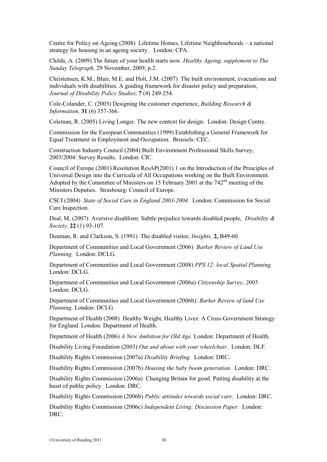Centre for Policy on Ageing (2008) Lifetime Homes, Lifetime Neighbourhoods – a national strategy for housing in an ageing society. London: CPA.

Childs, A. (2009) The future of your health starts now. *Healthy Ageing, supplement to The Sunday Telegraph,* 29 November, 2009, p.2.

Christensen, K.M., Blair, M.E. and Holt, J.M. (2007) The built environment, evacuations and individuals with disabilities. A guiding framework for disaster policy and preparation, *Journal of Disability Policy Studies,* **7** (4) 249-254.

Cole-Colander, C. (2003) Designing the customer experience, *Building Research & Information,* **31** (6) 357-366.

Coleman, R. (2005) Living Longer. The new context for design. London: Design Centre.

Commission for the European Communities (1999) Establishing a General Framework for Equal Treatment in Employment and Occupation. Brussels: CEC.

Construction Industry Council (2004) Built Environment Professional Skills Survey, 2003/2004: Survey Results. London: CIC.

Council of Europe (2001) Resolution ResAP(2001) 1 on the Introduction of the Principles of Universal Design into the Curricula of All Occupations working on the Built Environment. Adopted by the Committee of Ministers on 15 February 2001 at the 742<sup>nd</sup> meeting of the Ministers Deputies. Strasbourg: Council of Europe.

CSCI (2004) *State of Social Care in England 2003-2004.* London: Commission for Social Care Inspection.

Deal, M. (2007) Aversive disablism: Subtle prejudice towards disabled people, *Disability & Society,* **22** (1) 93-107.

Denman, R. and Clarkson, S. (1991) The disabled visitor, *Insights,* **2,** B49-60.

Department of Communities and Local Government (2006) *Barker Review of Land Use Planning.* London: DCLG.

Department of Communities and Local Government (2008) *PPS 12: local Spatial Planning.*  London: DCLG.

Department of Communities and Local Government (2006a) *Citizenship Survey, 2005.*  London: DCLG.

Department of Communities and Local Government (2006b). *Barker Review of land Use Planning.* London: DCLG.

Department of Health (2008) Healthy Weight, Healthy Lives: A Cross-Government Strategy for England. London: Department of Health.

Department of Health (2006) *A New Ambition for Old Age.* London: Department of Health.

Disability Living Foundation (2003) *Out and about with your wheelchair.* London: DLF.

Disability Rights Commission (2007a) *Disability Briefing.* London: DRC.

Disability Rights Commission (2007b) *Housing the baby boom generation.* London: DRC.

Disability Rights Commission (2006a) Changing Britain for good. Putting disability at the heart of public policy. London: DRC.

Disability Rights Commission (2006b) *Public attitudes towards social care.* London: DRC.

Disability Rights Commission (2006c) *Independent Living: Discussion Paper.* London: DRC.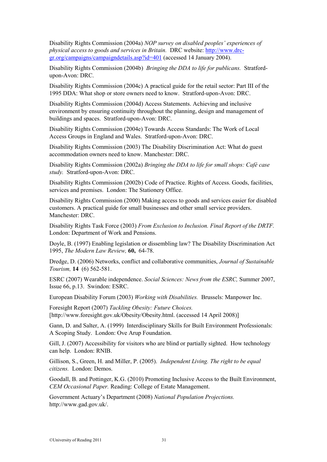Disability Rights Commission (2004a) *NOP survey on disabled peoples' experiences of physical access to goods and services in Britain.* DRC website: [http://www.drc](http://www.drc-gr.org/campaigns/campaigndetails.asp?id=401)[gr.org/campaigns/campaigndetails.asp?id=401](http://www.drc-gr.org/campaigns/campaigndetails.asp?id=401) (accessed 14 January 2004).

Disability Rights Commission (2004b) *Bringing the DDA to life for publicans.* Stratfordupon-Avon: DRC.

Disability Rights Commission (2004c) A practical guide for the retail sector: Part III of the 1995 DDA: What shop or store owners need to know. Stratford-upon-Avon: DRC.

Disability Rights Commission (2004d) Access Statements. Achieving and inclusive environment by ensuring continuity throughout the planning, design and management of buildings and spaces. Stratford-upon-Avon: DRC.

Disability Rights Commission (2004e) Towards Access Standards: The Work of Local Access Groups in England and Wales. Stratford-upon-Avon: DRC.

Disability Rights Commission (2003) The Disability Discrimination Act: What do guest accommodation owners need to know. Manchester: DRC.

Disability Rights Commission (2002a) *Bringing the DDA to life for small shops: Café case study.* Stratford-upon-Avon: DRC.

Disability Rights Commission (2002b) Code of Practice. Rights of Access. Goods, facilities, services and premises. London: The Stationery Office.

Disability Rights Commission (2000) Making access to goods and services easier for disabled customers. A practical guide for small businesses and other small service providers. Manchester: DRC.

Disability Rights Task Force (2003) *From Exclusion to Inclusion. Final Report of the DRTF.*  London: Department of Work and Pensions.

Doyle, B. (1997) Enabling legislation or dissembling law? The Disability Discrimination Act 1995, *The Modern Law Review,* **60,** 64-78.

Dredge, D. (2006) Networks, conflict and collaborative communities, *Journal of Sustainable Tourism,* **14** (6) 562-581.

ESRC (2007) Wearable independence. *Social Sciences: News from the ESRC,* Summer 2007, Issue 66, p.13. Swindon: ESRC.

European Disability Forum (2003) *Working with Disabilities.* Brussels: Manpower Inc.

Foresight Report (2007) *Tackling Obesity: Future Choices.*  [http://www.foresight.gov.uk/Obesity/Obesity.html. (accessed 14 April 2008)]

Gann, D. and Salter, A. (1999) Interdisciplinary Skills for Built Environment Professionals: A Scoping Study. London: Ove Arup Foundation.

Gill, J. (2007) Accessibility for visitors who are blind or partially sighted. How technology can help. London: RNIB.

Gillison, S., Green, H. and Miller, P. (2005). *Independent Living. The right to be equal citizens.* London: Demos.

Goodall, B. and Pottinger, K.G. (2010) Promoting Inclusive Access to the Built Environment, *CEM Occasional Paper.* Reading: College of Estate Management.

Government Actuary's Department (2008) *National Population Projections.*  http://www.gad.gov.uk/.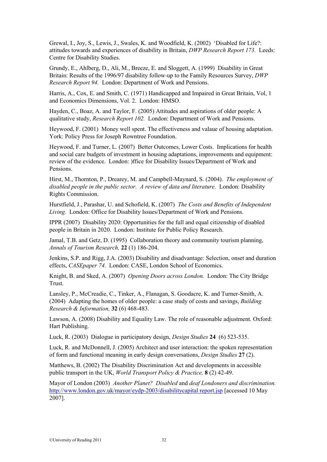Grewal, I., Joy, S., Lewis, J., Swales, K. and Woodfield, K. (2002) 'Disabled for Life?: attitudes towards and experiences of disability in Britain, *DWP Research Report 173.* Leeds: Centre for Disability Studies.

Grundy, E., Ahlberg, D., Ali, M., Breeze, E. and Sloggett, A. (1999) Disability in Great Britain: Results of the 1996/97 disability follow-up to the Family Resources Survey, *DWP Research Report 94.* London: Department of Work and Pensions.

Harris, A., Cox, E. and Smith, C. (1971) Handicapped and Impaired in Great Britain, Vol, 1 and Economics Dimensions, Vol. 2. London: HMSO.

Hayden, C., Boaz, A. and Taylor, F. (2005) Attitudes and aspirations of older people: A qualitative study, *Research Report 102.* London: Department of Work and Pensions.

Heywood, F. (2001) Money well spent. The effectiveness and valaue of housing adaptation. York: Policy Press for Joseph Rowntree Foundation.

Heywood, F. and Turner, L. (2007) Better Outcomes, Lower Costs. Implications for health and social care budgets of investment in housing adaptations, improvements and equipment: review of the evidence. London: )ffice for Disability Issues/Department of Work and Pensions.

Hirst, M., Thornton, P., Drearey, M. and Campbell-Maynard, S. (2004). *The employment of disabled people in the public sector. A review of data and literature.* London: Disability Rights Commission.

Hurstfield, J., Parashar, U. and Schofield, K. (2007) *The Costs and Benefits of Independent Living.* London: Office for Disability Issues/Department of Work and Pensions.

IPPR (2007) Disability 2020: Opportunities for the full and equal citizenship of disabled people in Britain in 2020. London: Institute for Public Policy Research.

Jamal, T.B. and Getz, D. (1995) Collaboration theory and community tourism planning, *Annals of Tourism Research,* **22** (1) 186-204.

Jenkins, S.P. and Rigg, J.A. (2003) Disability and disadvantage: Selection, onset and duration effects, *CASEpaper 74.* London: CASE, London School of Economics.

Knight, B. and Sked, A. (2007) *Opening Doors across London.* London: The City Bridge Trust.

Lansley, P., McCreadie, C., Tinker, A., Flanagan, S. Goodacre, K. and Turner-Smith, A. (2004) Adapting the homes of older people: a case study of costs and savings, *Building Research & Information,* **32** (6) 468-483.

Lawson, A. (2008) Disability and Equality Law. The role of reasonable adjustment. Oxford: Hart Publishing.

Luck, R. (2003) Dialogue in participatory design, *Design Studies* **24** (6) 523-535.

Luck, R. and McDonnell, J. (2005) Architect and user interaction: the spoken representation of form and functional meaning in early design conversations, *Design Studies* **27** (2).

Matthews, B. (2002) The Disability Discrimination Act and developments in accessible public transport in the UK, *World Transport Policy & Practice,* **8** (2) 42-49.

Mayor of London (2003) *Another Planet? Disabled* and *deaf Londoners and discrimination.*  [http://www.london.gov.uk/mayor/eydp-2003/disabilitycapital report.jsp](http://www.london.gov.uk/mayor/eydp-2003/disabilitycapital%20report.jsp) [accessed 10 May 2007].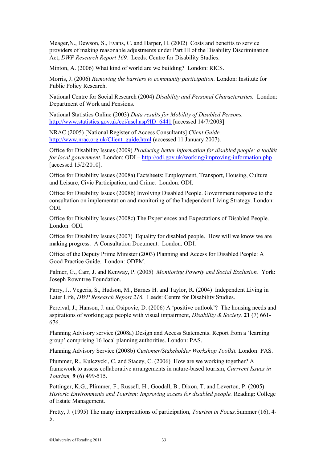Meager,N., Dewson, S., Evans, C. and Harper, H. (2002) Costs and benefits to service providers of making reasonable adjustments under Part III of the Disability Discrimination Act, *DWP Research Report 169.* Leeds: Centre for Disability Studies.

Minton, A. (2006) What kind of world are we building? London: RICS.

Morris, J. (2006) *Removing the barriers to community participation.* London: Institute for Public Policy Research.

National Centre for Social Research (2004) *Disability and Personal Characteristics.* London: Department of Work and Pensions.

National Statistics Online (2003) *Data results for Mobility of Disabled Persons.*  <http://www.statistics.gov.uk/cci/nscl.asp?ID=6441> [accessed 14/7/2003]

NRAC (2005) [National Register of Access Consultants] *Client Guide.*  [http://www.nrac.org.uk/Client\\_guide.html](http://www.nrac.org.uk/Client_guide.html) (accessed 11 January 2007).

Office for Disability Issues (2009) *Producing better information for disabled people: a toolkit for local government.* London: ODI – <http://odi.gov.uk/working/improving-information.php> [accessed 15/2/2010].

Office for Disability Issues (2008a) Factsheets: Employment, Transport, Housing, Culture and Leisure, Civic Participation, and Crime. London: ODI.

Office for Disability Issues (2008b) Involving Disabled People. Government response to the consultation on implementation and monitoring of the Independent Living Strategy. London: ODI.

Office for Disability Issues (2008c) The Experiences and Expectations of Disabled People. London: ODI.

Office for Disability Issues (2007) Equality for disabled people. How will we know we are making progress. A Consultation Document. London: ODI.

Office of the Deputy Prime Minister (2003) Planning and Access for Disabled People: A Good Practice Guide. London: ODPM.

Palmer, G., Carr, J. and Kenway, P. (2005) *Monitoring Poverty and Social Exclusion.* York: Joseph Rowntree Foundation.

Parry, J., Vegeris, S., Hudson, M., Barnes H. and Taylor, R. (2004) Independent Living in Later Life, *DWP Research Report 216.* Leeds: Centre for Disability Studies.

Percival, J.; Hanson, J. and Osipovic, D. (2006) A 'positive outlook'? The housing needs and aspirations of working age people with visual impairment, *Disability & Society,* **21** (7) 661- 676.

Planning Advisory service (2008a) Design and Access Statements. Report from a 'learning group' comprising 16 local planning authorities. London: PAS.

Planning Advisory Service (2008b) *Customer/Stakeholder Workshop Toolkit.* London: PAS.

Plummer, R., Kulczycki, C. and Stacey, C. (2006) How are we working together? A framework to assess collaborative arrangements in nature-based tourism, *Currrent Issues in Tourism,* **9** (6) 499-515.

Pottinger, K.G., Plimmer, F., Russell, H., Goodall, B., Dixon, T. and Leverton, P. (2005) *Historic Environments and Tourism: Improving access for disabled people. Reading: College* of Estate Management.

Pretty, J. (1995) The many interpretations of participation, *Tourism in Focus,*Summer (16), 4- 5.